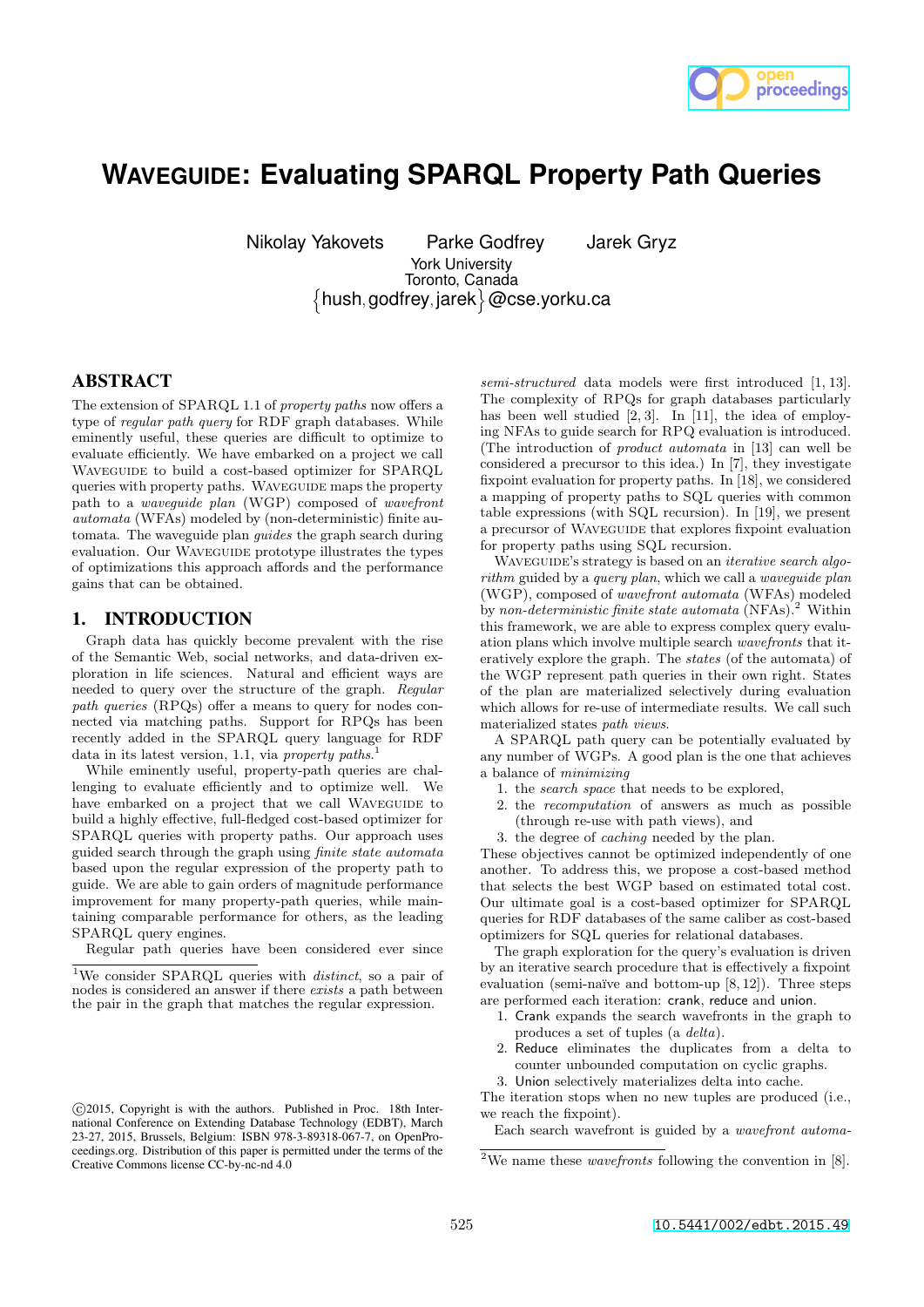

# **WAVEGUIDE: Evaluating SPARQL Property Path Queries**

Nikolay Yakovets Parke Godfrey Jarek Gryz

York University {hush, godfrey, jarek}@cse.yorku.ca Toronto, Canada

# ABSTRACT

The extension of SPARQL 1.1 of *property paths* now offers a type of *regular path query* for RDF graph databases. While eminently useful, these queries are difficult to optimize to evaluate efficiently. We have embarked on a project we call WAVEGUIDE to build a cost-based optimizer for SPARQL queries with property paths. WAVEGUIDE maps the property path to a *waveguide plan* (WGP) composed of *wavefront automata* (WFAs) modeled by (non-deterministic) finite automata. The waveguide plan *guides* the graph search during evaluation. Our Waveguide prototype illustrates the types of optimizations this approach affords and the performance gains that can be obtained.

# 1. INTRODUCTION

Graph data has quickly become prevalent with the rise of the Semantic Web, social networks, and data-driven exploration in life sciences. Natural and efficient ways are needed to query over the structure of the graph. *Regular path queries* (RPQs) offer a means to query for nodes connected via matching paths. Support for RPQs has been recently added in the SPARQL query language for RDF data in its latest version, 1.1, via *property paths*. 1

While eminently useful, property-path queries are challenging to evaluate efficiently and to optimize well. We have embarked on a project that we call WAVEGUIDE to build a highly effective, full-fledged cost-based optimizer for SPARQL queries with property paths. Our approach uses guided search through the graph using *finite state automata* based upon the regular expression of the property path to guide. We are able to gain orders of magnitude performance improvement for many property-path queries, while maintaining comparable performance for others, as the leading SPARQL query engines.

Regular path queries have been considered ever since

*semi-structured* data models were first introduced [1, 13]. The complexity of RPQs for graph databases particularly has been well studied [2, 3]. In [11], the idea of employing NFAs to guide search for RPQ evaluation is introduced. (The introduction of *product automata* in [13] can well be considered a precursor to this idea.) In [7], they investigate fixpoint evaluation for property paths. In [18], we considered a mapping of property paths to SQL queries with common table expressions (with SQL recursion). In [19], we present a precursor of WAVEGUIDE that explores fixpoint evaluation for property paths using SQL recursion.

Waveguide's strategy is based on an *iterative search algorithm* guided by a *query plan*, which we call a *waveguide plan* (WGP), composed of *wavefront automata* (WFAs) modeled by *non-deterministic finite state automata* (NFAs).<sup>2</sup> Within this framework, we are able to express complex query evaluation plans which involve multiple search *wavefronts* that iteratively explore the graph. The *states* (of the automata) of the WGP represent path queries in their own right. States of the plan are materialized selectively during evaluation which allows for re-use of intermediate results. We call such materialized states *path views*.

A SPARQL path query can be potentially evaluated by any number of WGPs. A good plan is the one that achieves a balance of *minimizing*

- 1. the *search space* that needs to be explored,
- 2. the *recomputation* of answers as much as possible (through re-use with path views), and
- 3. the degree of *caching* needed by the plan.

These objectives cannot be optimized independently of one another. To address this, we propose a cost-based method that selects the best WGP based on estimated total cost. Our ultimate goal is a cost-based optimizer for SPARQL queries for RDF databases of the same caliber as cost-based optimizers for SQL queries for relational databases.

The graph exploration for the query's evaluation is driven by an iterative search procedure that is effectively a fixpoint evaluation (semi-naïve and bottom-up  $[8, 12]$ ). Three steps are performed each iteration: crank, reduce and union.

- 1. Crank expands the search wavefronts in the graph to produces a set of tuples (a *delta*).
- 2. Reduce eliminates the duplicates from a delta to counter unbounded computation on cyclic graphs.
- 3. Union selectively materializes delta into cache.

The iteration stops when no new tuples are produced (i.e., we reach the fixpoint).

Each search wavefront is guided by a *wavefront automa-*

<sup>1</sup>We consider SPARQL queries with *distinct*, so a pair of nodes is considered an answer if there *exists* a path between the pair in the graph that matches the regular expression.

c 2015, Copyright is with the authors. Published in Proc. 18th International Conference on Extending Database Technology (EDBT), March 23-27, 2015, Brussels, Belgium: ISBN 978-3-89318-067-7, on OpenProceedings.org. Distribution of this paper is permitted under the terms of the Creative Commons license CC-by-nc-nd 4.0

<sup>2</sup>We name these *wavefronts* following the convention in [8].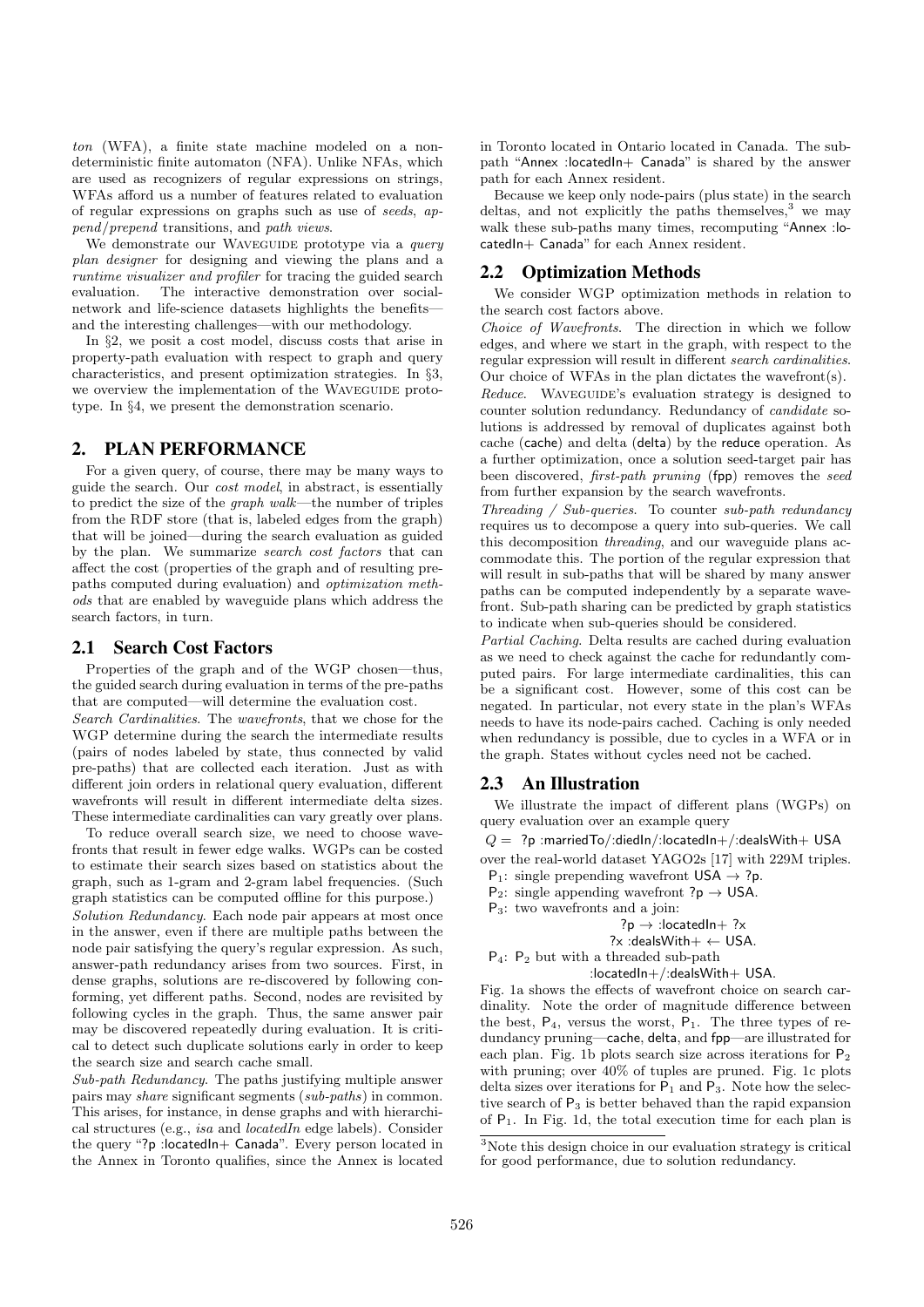*ton* (WFA), a finite state machine modeled on a nondeterministic finite automaton (NFA). Unlike NFAs, which are used as recognizers of regular expressions on strings, WFAs afford us a number of features related to evaluation of regular expressions on graphs such as use of *seeds*, *append*/*prepend* transitions, and *path views*.

We demonstrate our WAVEGUIDE prototype via a *query plan designer* for designing and viewing the plans and a *runtime visualizer and profiler* for tracing the guided search evaluation. The interactive demonstration over socialnetwork and life-science datasets highlights the benefits and the interesting challenges—with our methodology.

In *§*2, we posit a cost model, discuss costs that arise in property-path evaluation with respect to graph and query characteristics, and present optimization strategies. In *§*3, we overview the implementation of the WAVEGUIDE prototype. In *§*4, we present the demonstration scenario.

# 2. PLAN PERFORMANCE

For a given query, of course, there may be many ways to guide the search. Our *cost model*, in abstract, is essentially to predict the size of the *graph walk*—the number of triples from the RDF store (that is, labeled edges from the graph) that will be joined—during the search evaluation as guided by the plan. We summarize *search cost factors* that can affect the cost (properties of the graph and of resulting prepaths computed during evaluation) and *optimization methods* that are enabled by waveguide plans which address the search factors, in turn.

#### 2.1 Search Cost Factors

Properties of the graph and of the WGP chosen—thus, the guided search during evaluation in terms of the pre-paths that are computed—will determine the evaluation cost.

*Search Cardinalities*. The *wavefronts*, that we chose for the WGP determine during the search the intermediate results (pairs of nodes labeled by state, thus connected by valid pre-paths) that are collected each iteration. Just as with different join orders in relational query evaluation, different wavefronts will result in different intermediate delta sizes. These intermediate cardinalities can vary greatly over plans.

To reduce overall search size, we need to choose wavefronts that result in fewer edge walks. WGPs can be costed to estimate their search sizes based on statistics about the graph, such as 1-gram and 2-gram label frequencies. (Such graph statistics can be computed offline for this purpose.) *Solution Redundancy*. Each node pair appears at most once in the answer, even if there are multiple paths between the node pair satisfying the query's regular expression. As such, answer-path redundancy arises from two sources. First, in dense graphs, solutions are re-discovered by following conforming, yet different paths. Second, nodes are revisited by following cycles in the graph. Thus, the same answer pair may be discovered repeatedly during evaluation. It is critical to detect such duplicate solutions early in order to keep the search size and search cache small.

*Sub-path Redundancy*. The paths justifying multiple answer pairs may *share* significant segments (*sub-paths*) in common. This arises, for instance, in dense graphs and with hierarchical structures (e.g., *isa* and *locatedIn* edge labels). Consider the query "?p : locatedIn+ Canada". Every person located in the Annex in Toronto qualifies, since the Annex is located in Toronto located in Ontario located in Canada. The subpath "Annex :locatedIn+ Canada" is shared by the answer path for each Annex resident.

Because we keep only node-pairs (plus state) in the search deltas, and not explicitly the paths themselves, $3$  we may walk these sub-paths many times, recomputing "Annex :locatedIn+ Canada" for each Annex resident.

#### 2.2 Optimization Methods

We consider WGP optimization methods in relation to the search cost factors above.

*Choice of Wavefronts*. The direction in which we follow edges, and where we start in the graph, with respect to the regular expression will result in different *search cardinalities*. Our choice of WFAs in the plan dictates the wavefront(s).

*Reduce*. WAVEGUIDE's evaluation strategy is designed to counter solution redundancy. Redundancy of *candidate* solutions is addressed by removal of duplicates against both cache (cache) and delta (delta) by the reduce operation. As a further optimization, once a solution seed-target pair has been discovered, *first-path pruning* (fpp) removes the *seed* from further expansion by the search wavefronts.

*Threading / Sub-queries*. To counter *sub-path redundancy* requires us to decompose a query into sub-queries. We call this decomposition *threading*, and our waveguide plans accommodate this. The portion of the regular expression that will result in sub-paths that will be shared by many answer paths can be computed independently by a separate wavefront. Sub-path sharing can be predicted by graph statistics to indicate when sub-queries should be considered.

*Partial Caching*. Delta results are cached during evaluation as we need to check against the cache for redundantly computed pairs. For large intermediate cardinalities, this can be a significant cost. However, some of this cost can be negated. In particular, not every state in the plan's WFAs needs to have its node-pairs cached. Caching is only needed when redundancy is possible, due to cycles in a WFA or in the graph. States without cycles need not be cached.

### 2.3 An Illustration

We illustrate the impact of different plans (WGPs) on query evaluation over an example query

 $Q = ?p$  :marriedTo/:diedIn/:locatedIn+/:dealsWith+ USA

over the real-world dataset YAGO2s [17] with 229M triples.

 $P_1$ : single prepending wavefront USA  $\rightarrow ?p$ .

- $P_2$ : single appending wavefront ? $p \rightarrow USA$ .
- P3: two wavefronts and a join:

```
?p \rightarrow :locatedIn+ ?x
```

```
?x :dealsWith+ \leftarrow USA.
P4: P2 but with a threaded sub-path
```
:locatedIn+/:dealsWith+ USA.

Fig. 1a shows the effects of wavefront choice on search cardinality. Note the order of magnitude difference between the best,  $P_4$ , versus the worst,  $P_1$ . The three types of redundancy pruning—cache, delta, and fpp—are illustrated for each plan. Fig. 1b plots search size across iterations for  $P_2$ with pruning; over 40% of tuples are pruned. Fig. 1c plots delta sizes over iterations for  $P_1$  and  $P_3$ . Note how the selective search of  $P_3$  is better behaved than the rapid expansion of  $P_1$ . In Fig. 1d, the total execution time for each plan is

<sup>&</sup>lt;sup>3</sup>Note this design choice in our evaluation strategy is critical for good performance, due to solution redundancy.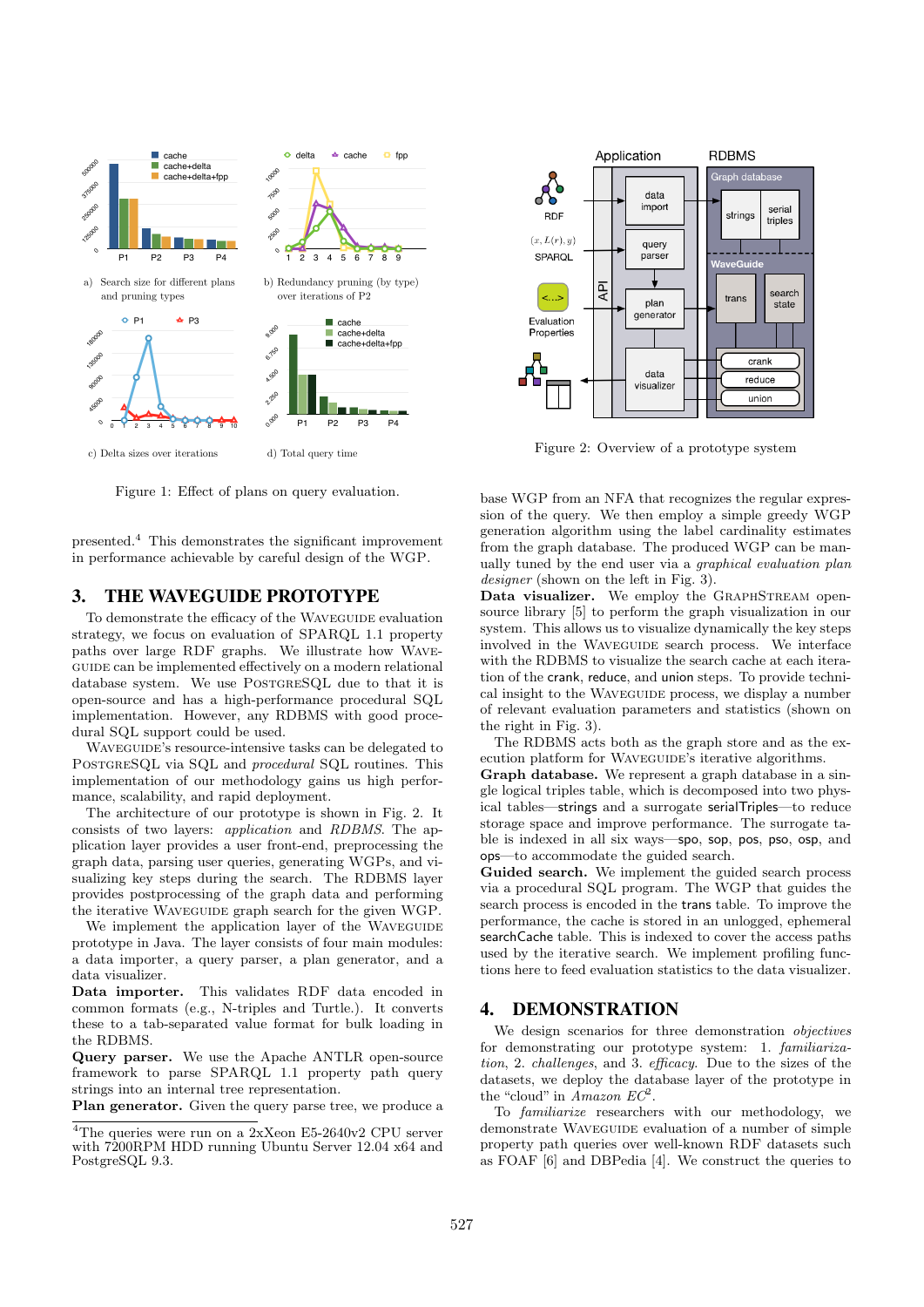

Figure 1: Effect of plans on query evaluation.

presented.<sup>4</sup> This demonstrates the significant improvement in performance achievable by careful design of the WGP.

# 3. THE WAVEGUIDE PROTOTYPE

To demonstrate the efficacy of the WAVEGUIDE evaluation strategy, we focus on evaluation of SPARQL 1.1 property paths over large RDF graphs. We illustrate how Wave-GUIDE can be implemented effectively on a modern relational database system. We use POSTGRESQL due to that it is open-source and has a high-performance procedural SQL implementation. However, any RDBMS with good procedural SQL support could be used.

Waveguide's resource-intensive tasks can be delegated to PostgreSQL via SQL and *procedural* SQL routines. This implementation of our methodology gains us high performance, scalability, and rapid deployment.

The architecture of our prototype is shown in Fig. 2. It consists of two layers: *application* and *RDBMS*. The application layer provides a user front-end, preprocessing the graph data, parsing user queries, generating WGPs, and visualizing key steps during the search. The RDBMS layer provides postprocessing of the graph data and performing the iterative Waveguide graph search for the given WGP.

We implement the application layer of the WAVEGUIDE prototype in Java. The layer consists of four main modules: a data importer, a query parser, a plan generator, and a data visualizer.

Data importer. This validates RDF data encoded in common formats (e.g., N-triples and Turtle.). It converts these to a tab-separated value format for bulk loading in the RDBMS.

Query parser. We use the Apache ANTLR open-source framework to parse SPARQL 1.1 property path query strings into an internal tree representation.

Plan generator. Given the query parse tree, we produce a



Figure 2: Overview of a prototype system

base WGP from an NFA that recognizes the regular expression of the query. We then employ a simple greedy WGP generation algorithm using the label cardinality estimates from the graph database. The produced WGP can be manually tuned by the end user via a *graphical evaluation plan designer* (shown on the left in Fig. 3).

Data visualizer. We employ the GRAPHSTREAM opensource library [5] to perform the graph visualization in our system. This allows us to visualize dynamically the key steps involved in the WAVEGUIDE search process. We interface with the RDBMS to visualize the search cache at each iteration of the crank, reduce, and union steps. To provide technical insight to the WAVEGUIDE process, we display a number of relevant evaluation parameters and statistics (shown on the right in Fig. 3).

The RDBMS acts both as the graph store and as the execution platform for WAVEGUIDE's iterative algorithms.

Graph database. We represent a graph database in a single logical triples table, which is decomposed into two physical tables—strings and a surrogate serialTriples—to reduce storage space and improve performance. The surrogate table is indexed in all six ways—spo, sop, pos, pso, osp, and ops—to accommodate the guided search.

Guided search. We implement the guided search process via a procedural SQL program. The WGP that guides the search process is encoded in the trans table. To improve the performance, the cache is stored in an unlogged, ephemeral searchCache table. This is indexed to cover the access paths used by the iterative search. We implement profiling functions here to feed evaluation statistics to the data visualizer.

# 4. DEMONSTRATION

We design scenarios for three demonstration *objectives* for demonstrating our prototype system: 1. *familiarization*, 2. *challenges*, and 3. *ecacy*. Due to the sizes of the datasets, we deploy the database layer of the prototype in the "cloud" in *Amazon EC*<sup>2</sup>.

To *familiarize* researchers with our methodology, we demonstrate WAVEGUIDE evaluation of a number of simple property path queries over well-known RDF datasets such as FOAF [6] and DBPedia [4]. We construct the queries to

<sup>&</sup>lt;sup>4</sup>The queries were run on a 2xXeon E5-2640v2 CPU server with 7200RPM HDD running Ubuntu Server 12.04 x64 and PostgreSQL 9.3.